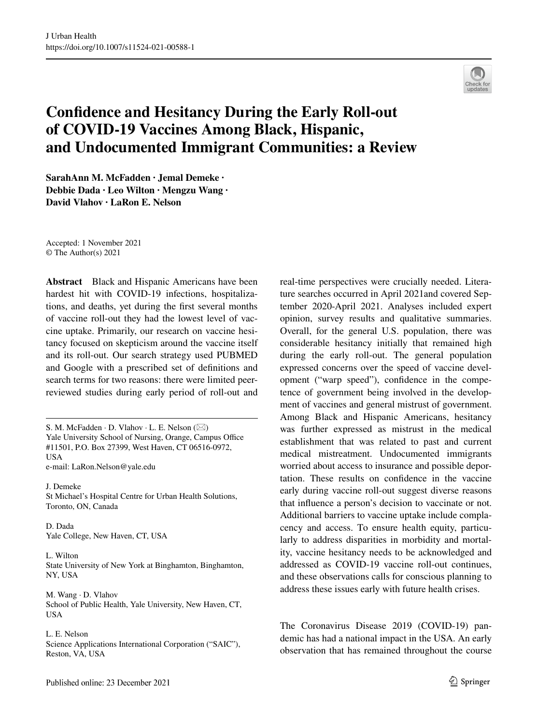

# **Confdence and Hesitancy During the Early Roll‑out of COVID‑19 Vaccines Among Black, Hispanic, and Undocumented Immigrant Communities: a Review**

**SarahAnn M. McFadden · Jemal Demeke · Debbie Dada · Leo Wilton · Mengzu Wang · David Vlahov · LaRon E. Nelson** 

Accepted: 1 November 2021 © The Author(s) 2021

**Abstract** Black and Hispanic Americans have been hardest hit with COVID-19 infections, hospitalizations, and deaths, yet during the frst several months of vaccine roll-out they had the lowest level of vaccine uptake. Primarily, our research on vaccine hesitancy focused on skepticism around the vaccine itself and its roll-out. Our search strategy used PUBMED and Google with a prescribed set of defnitions and search terms for two reasons: there were limited peerreviewed studies during early period of roll-out and

S. M. McFadden  $\cdot$  D. Vlahov  $\cdot$  L. E. Nelson ( $\boxtimes$ ) Yale University School of Nursing, Orange, Campus Office #11501, P.O. Box 27399, West Haven, CT 06516-0972, USA e-mail: LaRon.Nelson@yale.edu

J. Demeke St Michael's Hospital Centre for Urban Health Solutions, Toronto, ON, Canada

D. Dada Yale College, New Haven, CT, USA

L. Wilton State University of New York at Binghamton, Binghamton, NY, USA

M. Wang · D. Vlahov School of Public Health, Yale University, New Haven, CT, USA

L. E. Nelson Science Applications International Corporation ("SAIC"), Reston, VA, USA

real-time perspectives were crucially needed. Literature searches occurred in April 2021and covered September 2020-April 2021. Analyses included expert opinion, survey results and qualitative summaries. Overall, for the general U.S. population, there was considerable hesitancy initially that remained high during the early roll-out. The general population expressed concerns over the speed of vaccine development ("warp speed"), confdence in the competence of government being involved in the development of vaccines and general mistrust of government. Among Black and Hispanic Americans, hesitancy was further expressed as mistrust in the medical establishment that was related to past and current medical mistreatment. Undocumented immigrants worried about access to insurance and possible deportation. These results on confdence in the vaccine early during vaccine roll-out suggest diverse reasons that infuence a person's decision to vaccinate or not. Additional barriers to vaccine uptake include complacency and access. To ensure health equity, particularly to address disparities in morbidity and mortality, vaccine hesitancy needs to be acknowledged and addressed as COVID-19 vaccine roll-out continues, and these observations calls for conscious planning to address these issues early with future health crises.

The Coronavirus Disease 2019 (COVID-19) pandemic has had a national impact in the USA. An early observation that has remained throughout the course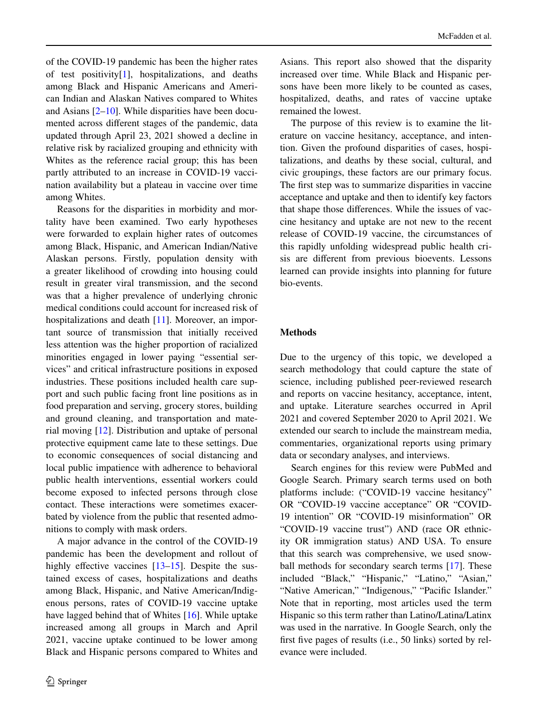of the COVID-19 pandemic has been the higher rates of test positivity[\[1](#page-8-0)], hospitalizations, and deaths among Black and Hispanic Americans and American Indian and Alaskan Natives compared to Whites and Asians  $[2-10]$  $[2-10]$ . While disparities have been documented across diferent stages of the pandemic, data updated through April 23, 2021 showed a decline in relative risk by racialized grouping and ethnicity with Whites as the reference racial group; this has been partly attributed to an increase in COVID-19 vaccination availability but a plateau in vaccine over time among Whites.

Reasons for the disparities in morbidity and mortality have been examined. Two early hypotheses were forwarded to explain higher rates of outcomes among Black, Hispanic, and American Indian/Native Alaskan persons. Firstly, population density with a greater likelihood of crowding into housing could result in greater viral transmission, and the second was that a higher prevalence of underlying chronic medical conditions could account for increased risk of hospitalizations and death [\[11](#page-8-3)]. Moreover, an important source of transmission that initially received less attention was the higher proportion of racialized minorities engaged in lower paying "essential services" and critical infrastructure positions in exposed industries. These positions included health care support and such public facing front line positions as in food preparation and serving, grocery stores, building and ground cleaning, and transportation and material moving [[12\]](#page-8-4). Distribution and uptake of personal protective equipment came late to these settings. Due to economic consequences of social distancing and local public impatience with adherence to behavioral public health interventions, essential workers could become exposed to infected persons through close contact. These interactions were sometimes exacerbated by violence from the public that resented admonitions to comply with mask orders.

A major advance in the control of the COVID-19 pandemic has been the development and rollout of highly effective vaccines  $[13-15]$  $[13-15]$ . Despite the sustained excess of cases, hospitalizations and deaths among Black, Hispanic, and Native American/Indigenous persons, rates of COVID-19 vaccine uptake have lagged behind that of Whites [[16\]](#page-9-1). While uptake increased among all groups in March and April 2021, vaccine uptake continued to be lower among Black and Hispanic persons compared to Whites and

Asians. This report also showed that the disparity increased over time. While Black and Hispanic persons have been more likely to be counted as cases, hospitalized, deaths, and rates of vaccine uptake remained the lowest.

The purpose of this review is to examine the literature on vaccine hesitancy, acceptance, and intention. Given the profound disparities of cases, hospitalizations, and deaths by these social, cultural, and civic groupings, these factors are our primary focus. The frst step was to summarize disparities in vaccine acceptance and uptake and then to identify key factors that shape those diferences. While the issues of vaccine hesitancy and uptake are not new to the recent release of COVID-19 vaccine, the circumstances of this rapidly unfolding widespread public health crisis are diferent from previous bioevents. Lessons learned can provide insights into planning for future bio-events.

#### **Methods**

Due to the urgency of this topic, we developed a search methodology that could capture the state of science, including published peer-reviewed research and reports on vaccine hesitancy, acceptance, intent, and uptake. Literature searches occurred in April 2021 and covered September 2020 to April 2021. We extended our search to include the mainstream media, commentaries, organizational reports using primary data or secondary analyses, and interviews.

Search engines for this review were PubMed and Google Search. Primary search terms used on both platforms include: ("COVID-19 vaccine hesitancy" OR "COVID-19 vaccine acceptance" OR "COVID-19 intention" OR "COVID-19 misinformation" OR "COVID-19 vaccine trust") AND (race OR ethnicity OR immigration status) AND USA. To ensure that this search was comprehensive, we used snowball methods for secondary search terms [\[17](#page-9-2)]. These included "Black," "Hispanic," "Latino," "Asian," "Native American," "Indigenous," "Pacifc Islander." Note that in reporting, most articles used the term Hispanic so this term rather than Latino/Latina/Latinx was used in the narrative. In Google Search, only the frst fve pages of results (i.e., 50 links) sorted by relevance were included.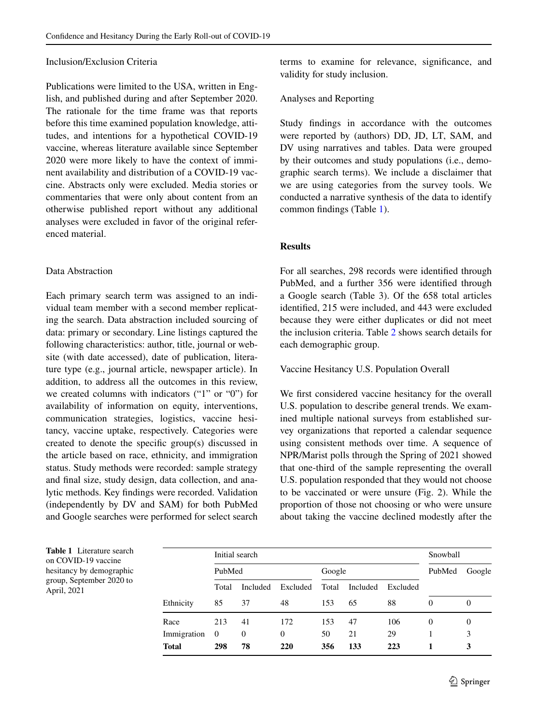# Inclusion/Exclusion Criteria

Publications were limited to the USA, written in English, and published during and after September 2020. The rationale for the time frame was that reports before this time examined population knowledge, attitudes, and intentions for a hypothetical COVID-19 vaccine, whereas literature available since September 2020 were more likely to have the context of imminent availability and distribution of a COVID-19 vaccine. Abstracts only were excluded. Media stories or commentaries that were only about content from an otherwise published report without any additional analyses were excluded in favor of the original referenced material.

# Data Abstraction

Each primary search term was assigned to an individual team member with a second member replicating the search. Data abstraction included sourcing of data: primary or secondary. Line listings captured the following characteristics: author, title, journal or website (with date accessed), date of publication, literature type (e.g., journal article, newspaper article). In addition, to address all the outcomes in this review, we created columns with indicators ("1" or "0") for availability of information on equity, interventions, communication strategies, logistics, vaccine hesitancy, vaccine uptake, respectively. Categories were created to denote the specifc group(s) discussed in the article based on race, ethnicity, and immigration status. Study methods were recorded: sample strategy and fnal size, study design, data collection, and analytic methods. Key fndings were recorded. Validation (independently by DV and SAM) for both PubMed and Google searches were performed for select search terms to examine for relevance, signifcance, and validity for study inclusion.

## Analyses and Reporting

Study fndings in accordance with the outcomes were reported by (authors) DD, JD, LT, SAM, and DV using narratives and tables. Data were grouped by their outcomes and study populations (i.e., demographic search terms). We include a disclaimer that we are using categories from the survey tools. We conducted a narrative synthesis of the data to identify common fndings (Table [1](#page-2-0)).

# **Results**

For all searches, 298 records were identifed through PubMed, and a further 356 were identifed through a Google search (Table 3). Of the 658 total articles identifed, 215 were included, and 443 were excluded because they were either duplicates or did not meet the inclusion criteria. Table [2](#page-3-0) shows search details for each demographic group.

# Vaccine Hesitancy U.S. Population Overall

We frst considered vaccine hesitancy for the overall U.S. population to describe general trends. We examined multiple national surveys from established survey organizations that reported a calendar sequence using consistent methods over time. A sequence of NPR/Marist polls through the Spring of 2021 showed that one-third of the sample representing the overall U.S. population responded that they would not choose to be vaccinated or were unsure (Fig. 2). While the proportion of those not choosing or who were unsure about taking the vaccine declined modestly after the

<span id="page-2-0"></span>

| Table 1 Literature search<br>on COVID-19 vaccine<br>hesitancy by demographic |  |
|------------------------------------------------------------------------------|--|
| group, September 2020 to<br>April, 2021                                      |  |
|                                                                              |  |

|              | Initial search |                 |          |        |          |          | Snowball |          |
|--------------|----------------|-----------------|----------|--------|----------|----------|----------|----------|
| PubMed       |                |                 |          | Google |          |          | PubMed   | Google   |
|              | Total          | <b>Included</b> | Excluded | Total  | Included | Excluded |          |          |
| Ethnicity    | 85             | 37              | 48       | 153    | 65       | 88       | $\Omega$ | $\theta$ |
| Race         | 213            | 41              | 172      | 153    | 47       | 106      | 0        | $\theta$ |
| Immigration  | - 0            | $\theta$        | 0        | 50     | 21       | 29       |          | 3        |
| <b>Total</b> | 298            | 78              | 220      | 356    | 133      | 223      |          | 3        |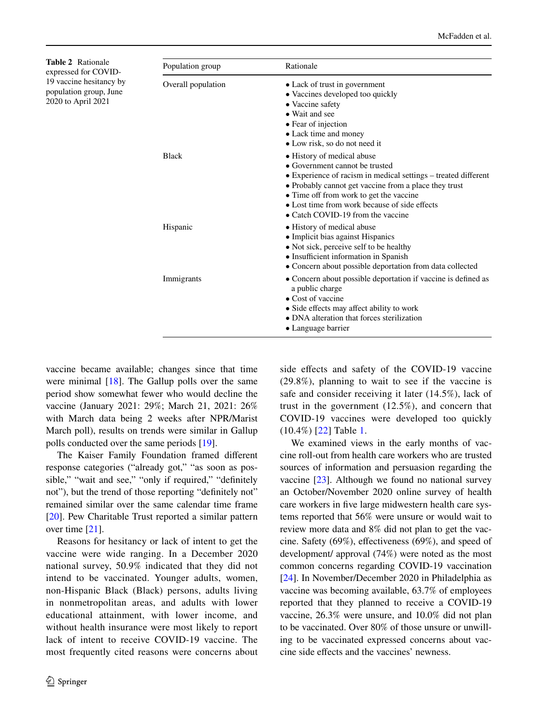<span id="page-3-0"></span>**Table 2** Rationale expressed for COVID-19 vaccine hesitancy by population group, June 2020 to April 2021

| Population group   | Rationale                                                                                                                                                                                                                                                                                                                |  |  |  |  |
|--------------------|--------------------------------------------------------------------------------------------------------------------------------------------------------------------------------------------------------------------------------------------------------------------------------------------------------------------------|--|--|--|--|
| Overall population | • Lack of trust in government<br>• Vaccines developed too quickly<br>• Vaccine safety<br>• Wait and see<br>• Fear of injection<br>• Lack time and money<br>• Low risk, so do not need it                                                                                                                                 |  |  |  |  |
| <b>Black</b>       | • History of medical abuse<br>• Government cannot be trusted<br>• Experience of racism in medical settings – treated different<br>• Probably cannot get vaccine from a place they trust<br>• Time off from work to get the vaccine<br>• Lost time from work because of side effects<br>• Catch COVID-19 from the vaccine |  |  |  |  |
| Hispanic           | • History of medical abuse<br>• Implicit bias against Hispanics<br>• Not sick, perceive self to be healthy<br>• Insufficient information in Spanish<br>• Concern about possible deportation from data collected                                                                                                          |  |  |  |  |
| Immigrants         | • Concern about possible deportation if vaccine is defined as<br>a public charge<br>$\bullet$ Cost of vaccine<br>• Side effects may affect ability to work<br>• DNA alteration that forces sterilization<br>• Language barrier                                                                                           |  |  |  |  |

vaccine became available; changes since that time were minimal  $[18]$  $[18]$ . The Gallup polls over the same period show somewhat fewer who would decline the vaccine (January 2021: 29%; March 21, 2021: 26% with March data being 2 weeks after NPR/Marist March poll), results on trends were similar in Gallup polls conducted over the same periods [\[19](#page-9-4)].

The Kaiser Family Foundation framed diferent response categories ("already got," "as soon as possible," "wait and see," "only if required," "definitely not"), but the trend of those reporting "defnitely not" remained similar over the same calendar time frame [\[20](#page-9-5)]. Pew Charitable Trust reported a similar pattern over time [\[21](#page-9-6)].

Reasons for hesitancy or lack of intent to get the vaccine were wide ranging. In a December 2020 national survey, 50.9% indicated that they did not intend to be vaccinated. Younger adults, women, non-Hispanic Black (Black) persons, adults living in nonmetropolitan areas, and adults with lower educational attainment, with lower income, and without health insurance were most likely to report lack of intent to receive COVID-19 vaccine. The most frequently cited reasons were concerns about side effects and safety of the COVID-19 vaccine (29.8%), planning to wait to see if the vaccine is safe and consider receiving it later (14.5%), lack of trust in the government (12.5%), and concern that COVID-19 vaccines were developed too quickly (10.4%) [[22\]](#page-9-7) Table [1.](#page-2-0)

We examined views in the early months of vaccine roll-out from health care workers who are trusted sources of information and persuasion regarding the vaccine [\[23](#page-9-8)]. Although we found no national survey an October/November 2020 online survey of health care workers in fve large midwestern health care systems reported that 56% were unsure or would wait to review more data and 8% did not plan to get the vaccine. Safety (69%), efectiveness (69%), and speed of development/ approval (74%) were noted as the most common concerns regarding COVID-19 vaccination [\[24](#page-9-9)]. In November/December 2020 in Philadelphia as vaccine was becoming available, 63.7% of employees reported that they planned to receive a COVID-19 vaccine, 26.3% were unsure, and 10.0% did not plan to be vaccinated. Over 80% of those unsure or unwilling to be vaccinated expressed concerns about vaccine side efects and the vaccines' newness.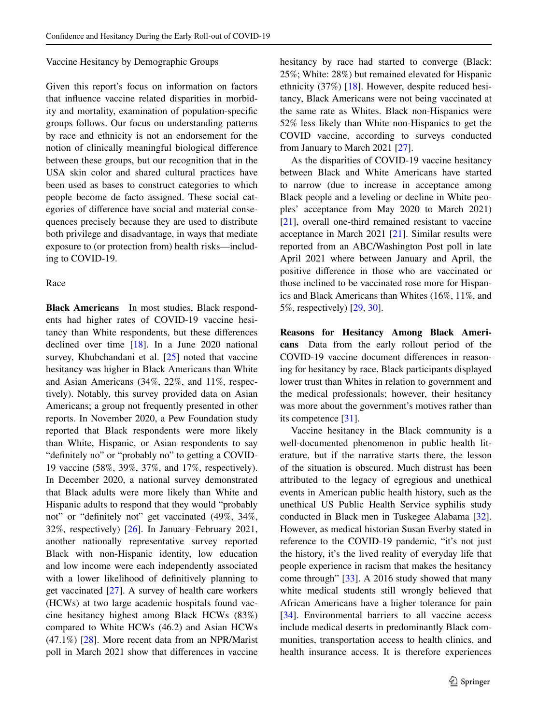#### Vaccine Hesitancy by Demographic Groups

Given this report's focus on information on factors that infuence vaccine related disparities in morbidity and mortality, examination of population-specifc groups follows. Our focus on understanding patterns by race and ethnicity is not an endorsement for the notion of clinically meaningful biological diference between these groups, but our recognition that in the USA skin color and shared cultural practices have been used as bases to construct categories to which people become de facto assigned. These social categories of diference have social and material consequences precisely because they are used to distribute both privilege and disadvantage, in ways that mediate exposure to (or protection from) health risks—including to COVID-19.

#### Race

**Black Americans** In most studies, Black respondents had higher rates of COVID-19 vaccine hesitancy than White respondents, but these diferences declined over time [[18\]](#page-9-3). In a June 2020 national survey, Khubchandani et al. [\[25](#page-9-10)] noted that vaccine hesitancy was higher in Black Americans than White and Asian Americans (34%, 22%, and 11%, respectively). Notably, this survey provided data on Asian Americans; a group not frequently presented in other reports. In November 2020, a Pew Foundation study reported that Black respondents were more likely than White, Hispanic, or Asian respondents to say "defnitely no" or "probably no" to getting a COVID-19 vaccine (58%, 39%, 37%, and 17%, respectively). In December 2020, a national survey demonstrated that Black adults were more likely than White and Hispanic adults to respond that they would "probably not" or "defnitely not" get vaccinated (49%, 34%, 32%, respectively) [[26\]](#page-9-11). In January–February 2021, another nationally representative survey reported Black with non-Hispanic identity, low education and low income were each independently associated with a lower likelihood of defnitively planning to get vaccinated [\[27](#page-9-12)]. A survey of health care workers (HCWs) at two large academic hospitals found vaccine hesitancy highest among Black HCWs (83%) compared to White HCWs (46.2) and Asian HCWs (47.1%) [\[28](#page-9-13)]. More recent data from an NPR/Marist poll in March 2021 show that diferences in vaccine

hesitancy by race had started to converge (Black: 25%; White: 28%) but remained elevated for Hispanic ethnicity (37%) [[18\]](#page-9-3). However, despite reduced hesitancy, Black Americans were not being vaccinated at the same rate as Whites. Black non-Hispanics were 52% less likely than White non-Hispanics to get the COVID vaccine, according to surveys conducted from January to March 2021 [[27\]](#page-9-12).

As the disparities of COVID-19 vaccine hesitancy between Black and White Americans have started to narrow (due to increase in acceptance among Black people and a leveling or decline in White peoples' acceptance from May 2020 to March 2021) [\[21](#page-9-6)], overall one-third remained resistant to vaccine acceptance in March 2021 [\[21](#page-9-6)]. Similar results were reported from an ABC/Washington Post poll in late April 2021 where between January and April, the positive diference in those who are vaccinated or those inclined to be vaccinated rose more for Hispanics and Black Americans than Whites (16%, 11%, and 5%, respectively) [\[29](#page-9-14), [30](#page-9-15)].

**Reasons for Hesitancy Among Black Ameri‑ cans** Data from the early rollout period of the COVID-19 vaccine document diferences in reasoning for hesitancy by race. Black participants displayed lower trust than Whites in relation to government and the medical professionals; however, their hesitancy was more about the government's motives rather than its competence [\[31](#page-9-16)].

Vaccine hesitancy in the Black community is a well-documented phenomenon in public health literature, but if the narrative starts there, the lesson of the situation is obscured. Much distrust has been attributed to the legacy of egregious and unethical events in American public health history, such as the unethical US Public Health Service syphilis study conducted in Black men in Tuskegee Alabama [\[32](#page-9-17)]. However, as medical historian Susan Everby stated in reference to the COVID-19 pandemic, "it's not just the history, it's the lived reality of everyday life that people experience in racism that makes the hesitancy come through" [\[33](#page-9-18)]. A 2016 study showed that many white medical students still wrongly believed that African Americans have a higher tolerance for pain [\[34](#page-9-19)]. Environmental barriers to all vaccine access include medical deserts in predominantly Black communities, transportation access to health clinics, and health insurance access. It is therefore experiences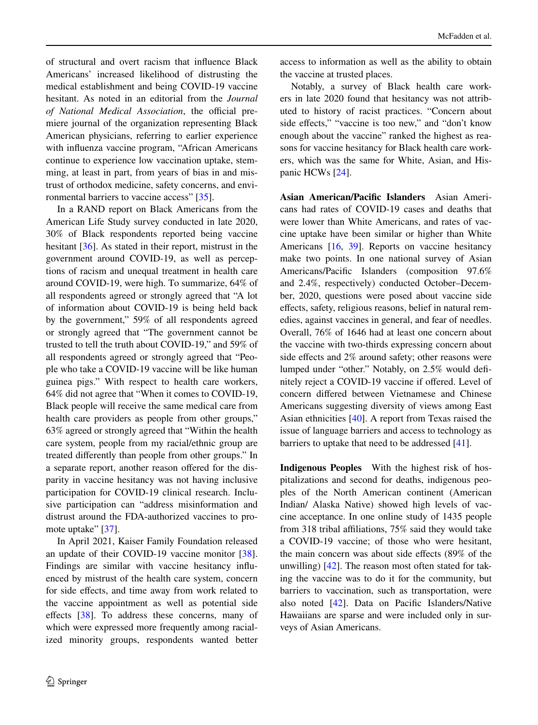of structural and overt racism that infuence Black Americans' increased likelihood of distrusting the medical establishment and being COVID-19 vaccine hesitant. As noted in an editorial from the *Journal of National Medical Association*, the official premiere journal of the organization representing Black American physicians, referring to earlier experience with infuenza vaccine program, "African Americans continue to experience low vaccination uptake, stemming, at least in part, from years of bias in and mistrust of orthodox medicine, safety concerns, and environmental barriers to vaccine access" [\[35](#page-9-20)].

In a RAND report on Black Americans from the American Life Study survey conducted in late 2020, 30% of Black respondents reported being vaccine hesitant [\[36](#page-9-21)]. As stated in their report, mistrust in the government around COVID-19, as well as perceptions of racism and unequal treatment in health care around COVID-19, were high. To summarize, 64% of all respondents agreed or strongly agreed that "A lot of information about COVID-19 is being held back by the government," 59% of all respondents agreed or strongly agreed that "The government cannot be trusted to tell the truth about COVID-19," and 59% of all respondents agreed or strongly agreed that "People who take a COVID-19 vaccine will be like human guinea pigs." With respect to health care workers, 64% did not agree that "When it comes to COVID-19, Black people will receive the same medical care from health care providers as people from other groups," 63% agreed or strongly agreed that "Within the health care system, people from my racial/ethnic group are treated diferently than people from other groups." In a separate report, another reason ofered for the disparity in vaccine hesitancy was not having inclusive participation for COVID-19 clinical research. Inclusive participation can "address misinformation and distrust around the FDA-authorized vaccines to pro-mote uptake" [\[37](#page-9-22)].

In April 2021, Kaiser Family Foundation released an update of their COVID-19 vaccine monitor [\[38](#page-9-23)]. Findings are similar with vaccine hesitancy infuenced by mistrust of the health care system, concern for side efects, and time away from work related to the vaccine appointment as well as potential side effects [[38\]](#page-9-23). To address these concerns, many of which were expressed more frequently among racialized minority groups, respondents wanted better

access to information as well as the ability to obtain the vaccine at trusted places.

Notably, a survey of Black health care workers in late 2020 found that hesitancy was not attributed to history of racist practices. "Concern about side effects," "vaccine is too new," and "don't know enough about the vaccine" ranked the highest as reasons for vaccine hesitancy for Black health care workers, which was the same for White, Asian, and Hispanic HCWs [\[24](#page-9-9)].

**Asian American/Pacifc Islanders** Asian Americans had rates of COVID-19 cases and deaths that were lower than White Americans, and rates of vaccine uptake have been similar or higher than White Americans [[16,](#page-9-1) [39\]](#page-9-24). Reports on vaccine hesitancy make two points. In one national survey of Asian Americans/Pacifc Islanders (composition 97.6% and 2.4%, respectively) conducted October–December, 2020, questions were posed about vaccine side efects, safety, religious reasons, belief in natural remedies, against vaccines in general, and fear of needles. Overall, 76% of 1646 had at least one concern about the vaccine with two-thirds expressing concern about side effects and 2% around safety; other reasons were lumped under "other." Notably, on 2.5% would defnitely reject a COVID-19 vaccine if ofered. Level of concern difered between Vietnamese and Chinese Americans suggesting diversity of views among East Asian ethnicities [\[40](#page-9-25)]. A report from Texas raised the issue of language barriers and access to technology as barriers to uptake that need to be addressed [\[41](#page-10-0)].

**Indigenous Peoples** With the highest risk of hospitalizations and second for deaths, indigenous peoples of the North American continent (American Indian/ Alaska Native) showed high levels of vaccine acceptance. In one online study of 1435 people from 318 tribal affiliations, 75% said they would take a COVID-19 vaccine; of those who were hesitant, the main concern was about side efects (89% of the unwilling) [\[42](#page-10-1)]. The reason most often stated for taking the vaccine was to do it for the community, but barriers to vaccination, such as transportation, were also noted [[42\]](#page-10-1). Data on Pacifc Islanders/Native Hawaiians are sparse and were included only in surveys of Asian Americans.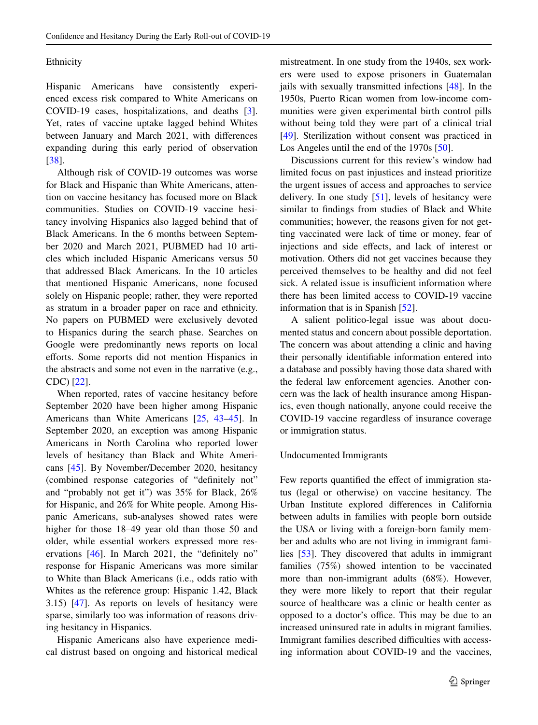# Ethnicity

Hispanic Americans have consistently experienced excess risk compared to White Americans on COVID-19 cases, hospitalizations, and deaths [\[3](#page-8-6)]. Yet, rates of vaccine uptake lagged behind Whites between January and March 2021, with diferences expanding during this early period of observation [\[38](#page-9-23)].

Although risk of COVID-19 outcomes was worse for Black and Hispanic than White Americans, attention on vaccine hesitancy has focused more on Black communities. Studies on COVID-19 vaccine hesitancy involving Hispanics also lagged behind that of Black Americans. In the 6 months between September 2020 and March 2021, PUBMED had 10 articles which included Hispanic Americans versus 50 that addressed Black Americans. In the 10 articles that mentioned Hispanic Americans, none focused solely on Hispanic people; rather, they were reported as stratum in a broader paper on race and ethnicity. No papers on PUBMED were exclusively devoted to Hispanics during the search phase. Searches on Google were predominantly news reports on local eforts. Some reports did not mention Hispanics in the abstracts and some not even in the narrative (e.g., CDC) [\[22](#page-9-7)].

When reported, rates of vaccine hesitancy before September 2020 have been higher among Hispanic Americans than White Americans [[25,](#page-9-10) [43–](#page-10-2)[45\]](#page-10-3). In September 2020, an exception was among Hispanic Americans in North Carolina who reported lower levels of hesitancy than Black and White Americans [\[45](#page-10-3)]. By November/December 2020, hesitancy (combined response categories of "defnitely not" and "probably not get it") was 35% for Black, 26% for Hispanic, and 26% for White people. Among Hispanic Americans, sub-analyses showed rates were higher for those 18–49 year old than those 50 and older, while essential workers expressed more reservations [[46\]](#page-10-4). In March 2021, the "defnitely no" response for Hispanic Americans was more similar to White than Black Americans (i.e., odds ratio with Whites as the reference group: Hispanic 1.42, Black 3.15) [[47\]](#page-10-5). As reports on levels of hesitancy were sparse, similarly too was information of reasons driving hesitancy in Hispanics.

Hispanic Americans also have experience medical distrust based on ongoing and historical medical mistreatment. In one study from the 1940s, sex workers were used to expose prisoners in Guatemalan jails with sexually transmitted infections [[48\]](#page-10-6). In the 1950s, Puerto Rican women from low-income communities were given experimental birth control pills without being told they were part of a clinical trial [\[49](#page-10-7)]. Sterilization without consent was practiced in Los Angeles until the end of the 1970s [\[50](#page-10-8)].

Discussions current for this review's window had limited focus on past injustices and instead prioritize the urgent issues of access and approaches to service delivery. In one study  $[51]$  $[51]$ , levels of hesitancy were similar to fndings from studies of Black and White communities; however, the reasons given for not getting vaccinated were lack of time or money, fear of injections and side efects, and lack of interest or motivation. Others did not get vaccines because they perceived themselves to be healthy and did not feel sick. A related issue is insufficient information where there has been limited access to COVID-19 vaccine information that is in Spanish [\[52](#page-10-10)].

A salient politico-legal issue was about documented status and concern about possible deportation. The concern was about attending a clinic and having their personally identifable information entered into a database and possibly having those data shared with the federal law enforcement agencies. Another concern was the lack of health insurance among Hispanics, even though nationally, anyone could receive the COVID-19 vaccine regardless of insurance coverage or immigration status.

# Undocumented Immigrants

Few reports quantified the effect of immigration status (legal or otherwise) on vaccine hesitancy. The Urban Institute explored diferences in California between adults in families with people born outside the USA or living with a foreign-born family member and adults who are not living in immigrant families [\[53](#page-10-11)]. They discovered that adults in immigrant families (75%) showed intention to be vaccinated more than non-immigrant adults (68%). However, they were more likely to report that their regular source of healthcare was a clinic or health center as opposed to a doctor's office. This may be due to an increased uninsured rate in adults in migrant families. Immigrant families described difficulties with accessing information about COVID-19 and the vaccines,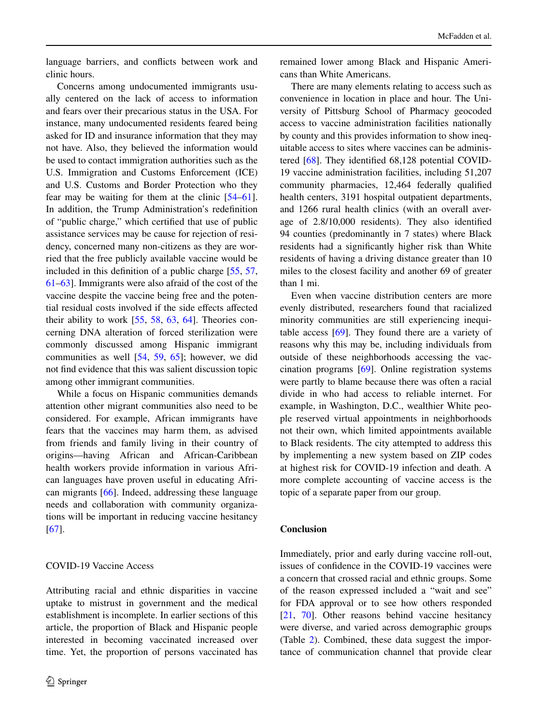language barriers, and conficts between work and clinic hours.

Concerns among undocumented immigrants usually centered on the lack of access to information and fears over their precarious status in the USA. For instance, many undocumented residents feared being asked for ID and insurance information that they may not have. Also, they believed the information would be used to contact immigration authorities such as the U.S. Immigration and Customs Enforcement (ICE) and U.S. Customs and Border Protection who they fear may be waiting for them at the clinic [\[54](#page-10-12)[–61](#page-10-13)]. In addition, the Trump Administration's redefnition of "public charge," which certifed that use of public assistance services may be cause for rejection of residency, concerned many non-citizens as they are worried that the free publicly available vaccine would be included in this defnition of a public charge [\[55](#page-10-14), [57,](#page-10-15) [61–](#page-10-13)[63\]](#page-10-16). Immigrants were also afraid of the cost of the vaccine despite the vaccine being free and the potential residual costs involved if the side efects afected their ability to work [\[55](#page-10-14), [58](#page-10-17), [63,](#page-10-16) [64\]](#page-10-18). Theories concerning DNA alteration of forced sterilization were commonly discussed among Hispanic immigrant communities as well [[54,](#page-10-12) [59,](#page-10-19) [65](#page-10-20)]; however, we did not fnd evidence that this was salient discussion topic among other immigrant communities.

While a focus on Hispanic communities demands attention other migrant communities also need to be considered. For example, African immigrants have fears that the vaccines may harm them, as advised from friends and family living in their country of origins—having African and African-Caribbean health workers provide information in various African languages have proven useful in educating African migrants [\[66](#page-10-21)]. Indeed, addressing these language needs and collaboration with community organizations will be important in reducing vaccine hesitancy [\[67](#page-10-22)].

### COVID-19 Vaccine Access

Attributing racial and ethnic disparities in vaccine uptake to mistrust in government and the medical establishment is incomplete. In earlier sections of this article, the proportion of Black and Hispanic people interested in becoming vaccinated increased over time. Yet, the proportion of persons vaccinated has remained lower among Black and Hispanic Americans than White Americans.

There are many elements relating to access such as convenience in location in place and hour. The University of Pittsburg School of Pharmacy geocoded access to vaccine administration facilities nationally by county and this provides information to show inequitable access to sites where vaccines can be administered [[68\]](#page-10-23). They identifed 68,128 potential COVID-19 vaccine administration facilities, including 51,207 community pharmacies, 12,464 federally qualifed health centers, 3191 hospital outpatient departments, and 1266 rural health clinics (with an overall average of 2.8/10,000 residents). They also identifed 94 counties (predominantly in 7 states) where Black residents had a signifcantly higher risk than White residents of having a driving distance greater than 10 miles to the closest facility and another 69 of greater than 1 mi.

Even when vaccine distribution centers are more evenly distributed, researchers found that racialized minority communities are still experiencing inequitable access  $[69]$  $[69]$ . They found there are a variety of reasons why this may be, including individuals from outside of these neighborhoods accessing the vaccination programs [\[69](#page-11-0)]. Online registration systems were partly to blame because there was often a racial divide in who had access to reliable internet. For example, in Washington, D.C., wealthier White people reserved virtual appointments in neighborhoods not their own, which limited appointments available to Black residents. The city attempted to address this by implementing a new system based on ZIP codes at highest risk for COVID-19 infection and death. A more complete accounting of vaccine access is the topic of a separate paper from our group.

#### **Conclusion**

Immediately, prior and early during vaccine roll-out, issues of confdence in the COVID-19 vaccines were a concern that crossed racial and ethnic groups. Some of the reason expressed included a "wait and see" for FDA approval or to see how others responded [\[21](#page-9-6), [70\]](#page-11-1). Other reasons behind vaccine hesitancy were diverse, and varied across demographic groups (Table [2\)](#page-3-0). Combined, these data suggest the importance of communication channel that provide clear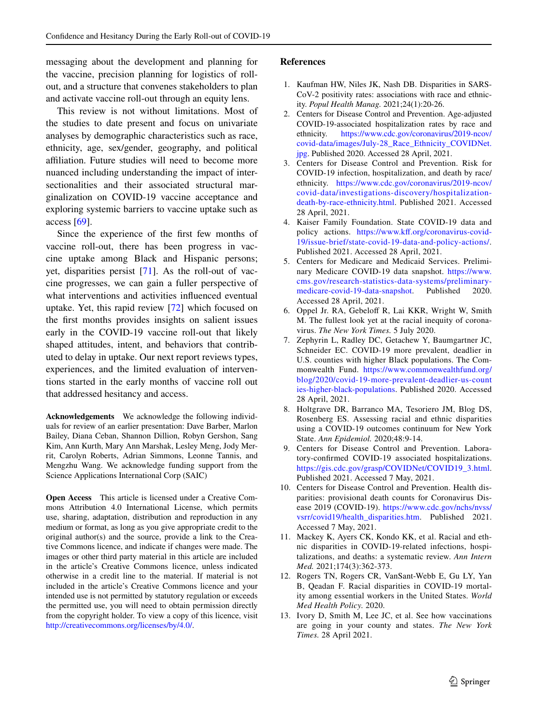messaging about the development and planning for the vaccine, precision planning for logistics of rollout, and a structure that convenes stakeholders to plan and activate vaccine roll-out through an equity lens.

This review is not without limitations. Most of the studies to date present and focus on univariate analyses by demographic characteristics such as race, ethnicity, age, sex/gender, geography, and political affiliation. Future studies will need to become more nuanced including understanding the impact of intersectionalities and their associated structural marginalization on COVID-19 vaccine acceptance and exploring systemic barriers to vaccine uptake such as access [\[69](#page-11-0)].

Since the experience of the frst few months of vaccine roll-out, there has been progress in vaccine uptake among Black and Hispanic persons; yet, disparities persist [\[71](#page-11-2)]. As the roll-out of vaccine progresses, we can gain a fuller perspective of what interventions and activities infuenced eventual uptake. Yet, this rapid review [[72\]](#page-11-3) which focused on the frst months provides insights on salient issues early in the COVID-19 vaccine roll-out that likely shaped attitudes, intent, and behaviors that contributed to delay in uptake. Our next report reviews types, experiences, and the limited evaluation of interventions started in the early months of vaccine roll out that addressed hesitancy and access.

**Acknowledgements** We acknowledge the following individuals for review of an earlier presentation: Dave Barber, Marlon Bailey, Diana Ceban, Shannon Dillion, Robyn Gershon, Sang Kim, Ann Kurth, Mary Ann Marshak, Lesley Meng, Jody Merrit, Carolyn Roberts, Adrian Simmons, Leonne Tannis, and Mengzhu Wang. We acknowledge funding support from the Science Applications International Corp (SAIC)

**Open Access** This article is licensed under a Creative Commons Attribution 4.0 International License, which permits use, sharing, adaptation, distribution and reproduction in any medium or format, as long as you give appropriate credit to the original author(s) and the source, provide a link to the Creative Commons licence, and indicate if changes were made. The images or other third party material in this article are included in the article's Creative Commons licence, unless indicated otherwise in a credit line to the material. If material is not included in the article's Creative Commons licence and your intended use is not permitted by statutory regulation or exceeds the permitted use, you will need to obtain permission directly from the copyright holder. To view a copy of this licence, visit <http://creativecommons.org/licenses/by/4.0/>.

#### **References**

- <span id="page-8-0"></span>1. Kaufman HW, Niles JK, Nash DB. Disparities in SARS-CoV-2 positivity rates: associations with race and ethnicity. *Popul Health Manag.* 2021;24(1):20-26.
- <span id="page-8-1"></span>2. Centers for Disease Control and Prevention. Age-adjusted COVID-19-associated hospitalization rates by race and ethnicity. https://www.cdc.gov/coronavirus/2019-ncov/ [https://www.cdc.gov/coronavirus/2019-ncov/](https://www.cdc.gov/coronavirus/2019-ncov/covid-data/images/July-28_Race_Ethnicity_COVIDNet.jpg) [covid-data/images/July-28\\_Race\\_Ethnicity\\_COVIDNet.](https://www.cdc.gov/coronavirus/2019-ncov/covid-data/images/July-28_Race_Ethnicity_COVIDNet.jpg) [jpg.](https://www.cdc.gov/coronavirus/2019-ncov/covid-data/images/July-28_Race_Ethnicity_COVIDNet.jpg) Published 2020. Accessed 28 April, 2021.
- <span id="page-8-6"></span>3. Centers for Disease Control and Prevention. Risk for COVID-19 infection, hospitalization, and death by race/ ethnicity. [https://www.cdc.gov/coronavirus/2019-ncov/](https://www.cdc.gov/coronavirus/2019-ncov/covid-data/investigations-discovery/hospitalization-death-by-race-ethnicity.html) [covid-data/investigations-discovery/hospitalization](https://www.cdc.gov/coronavirus/2019-ncov/covid-data/investigations-discovery/hospitalization-death-by-race-ethnicity.html)[death-by-race-ethnicity.html](https://www.cdc.gov/coronavirus/2019-ncov/covid-data/investigations-discovery/hospitalization-death-by-race-ethnicity.html). Published 2021. Accessed 28 April, 2021.
- 4. Kaiser Family Foundation. State COVID-19 data and policy actions. [https://www.kf.org/coronavirus-covid-](https://www.kff.org/coronavirus-covid-19/issue-brief/state-covid-19-data-and-policy-actions/)[19/issue-brief/state-covid-19-data-and-policy-actions/.](https://www.kff.org/coronavirus-covid-19/issue-brief/state-covid-19-data-and-policy-actions/) Published 2021. Accessed 28 April, 2021.
- 5. Centers for Medicare and Medicaid Services. Preliminary Medicare COVID-19 data snapshot. [https://www.](https://www.cms.gov/research-statistics-data-systems/preliminary-medicare-covid-19-data-snapshot) [cms.gov/research-statistics-data-systems/preliminary](https://www.cms.gov/research-statistics-data-systems/preliminary-medicare-covid-19-data-snapshot)[medicare-covid-19-data-snapshot](https://www.cms.gov/research-statistics-data-systems/preliminary-medicare-covid-19-data-snapshot). Published Accessed 28 April, 2021.
- 6. Oppel Jr. RA, Gebelof R, Lai KKR, Wright W, Smith M. The fullest look yet at the racial inequity of coronavirus. *The New York Times.* 5 July 2020.
- 7. Zephyrin L, Radley DC, Getachew Y, Baumgartner JC, Schneider EC. COVID-19 more prevalent, deadlier in U.S. counties with higher Black populations. The Commonwealth Fund. [https://www.commonwealthfund.org/](https://www.commonwealthfund.org/blog/2020/covid-19-more-prevalent-deadlier-us-counties-higher-black-populations) [blog/2020/covid-19-more-prevalent-deadlier-us-count](https://www.commonwealthfund.org/blog/2020/covid-19-more-prevalent-deadlier-us-counties-higher-black-populations) [ies-higher-black-populations](https://www.commonwealthfund.org/blog/2020/covid-19-more-prevalent-deadlier-us-counties-higher-black-populations). Published 2020. Accessed 28 April, 2021.
- 8. Holtgrave DR, Barranco MA, Tesoriero JM, Blog DS, Rosenberg ES. Assessing racial and ethnic disparities using a COVID-19 outcomes continuum for New York State. *Ann Epidemiol.* 2020;48:9-14.
- 9. Centers for Disease Control and Prevention. Laboratory-confrmed COVID-19 associated hospitalizations. [https://gis.cdc.gov/grasp/COVIDNet/COVID19\\_3.html](https://gis.cdc.gov/grasp/COVIDNet/COVID19_3.html). Published 2021. Accessed 7 May, 2021.
- <span id="page-8-2"></span>10. Centers for Disease Control and Prevention. Health disparities: provisional death counts for Coronavirus Disease 2019 (COVID-19). [https://www.cdc.gov/nchs/nvss/](https://www.cdc.gov/nchs/nvss/vsrr/covid19/health_disparities.htm) [vsrr/covid19/health\\_disparities.htm.](https://www.cdc.gov/nchs/nvss/vsrr/covid19/health_disparities.htm) Published 2021. Accessed 7 May, 2021.
- <span id="page-8-3"></span>11. Mackey K, Ayers CK, Kondo KK, et al. Racial and ethnic disparities in COVID-19-related infections, hospitalizations, and deaths: a systematic review. *Ann Intern Med.* 2021;174(3):362-373.
- <span id="page-8-4"></span>12. Rogers TN, Rogers CR, VanSant-Webb E, Gu LY, Yan B, Qeadan F. Racial disparities in COVID-19 mortality among essential workers in the United States. *World Med Health Policy.* 2020.
- <span id="page-8-5"></span>13. Ivory D, Smith M, Lee JC, et al. See how vaccinations are going in your county and states. *The New York Times.* 28 April 2021.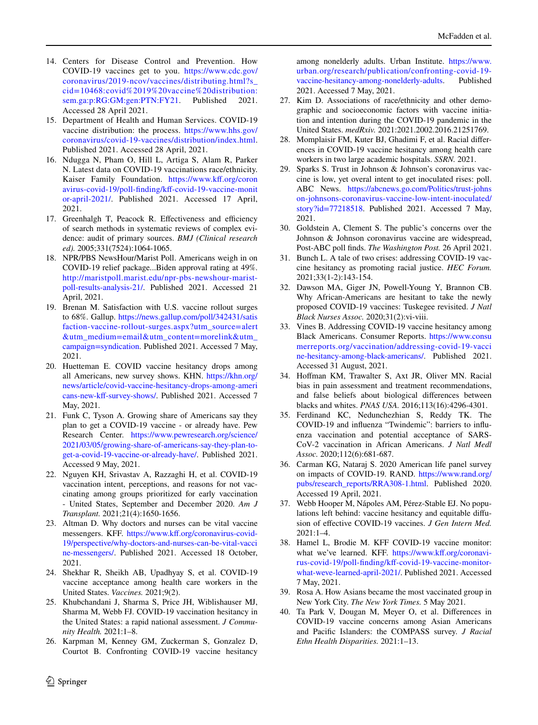- 14. Centers for Disease Control and Prevention. How COVID-19 vaccines get to you. [https://www.cdc.gov/](https://www.cdc.gov/coronavirus/2019-ncov/vaccines/distributing.html?s_cid=10468:covid%2019%20vaccine%20distribution:sem.ga:p:RG:GM:gen:PTN:FY21) [coronavirus/2019-ncov/vaccines/distributing.html?s\\_](https://www.cdc.gov/coronavirus/2019-ncov/vaccines/distributing.html?s_cid=10468:covid%2019%20vaccine%20distribution:sem.ga:p:RG:GM:gen:PTN:FY21) [cid=10468:covid%2019%20vaccine%20distribution:](https://www.cdc.gov/coronavirus/2019-ncov/vaccines/distributing.html?s_cid=10468:covid%2019%20vaccine%20distribution:sem.ga:p:RG:GM:gen:PTN:FY21) [sem.ga:p:RG:GM:gen:PTN:FY21.](https://www.cdc.gov/coronavirus/2019-ncov/vaccines/distributing.html?s_cid=10468:covid%2019%20vaccine%20distribution:sem.ga:p:RG:GM:gen:PTN:FY21) Published Accessed 28 April 2021.
- <span id="page-9-0"></span>15. Department of Health and Human Services. COVID-19 vaccine distribution: the process. [https://www.hhs.gov/](https://www.hhs.gov/coronavirus/covid-19-vaccines/distribution/index.html) [coronavirus/covid-19-vaccines/distribution/index.html](https://www.hhs.gov/coronavirus/covid-19-vaccines/distribution/index.html). Published 2021. Accessed 28 April, 2021.
- <span id="page-9-1"></span>16. Ndugga N, Pham O, Hill L, Artiga S, Alam R, Parker N. Latest data on COVID-19 vaccinations race/ethnicity. Kaiser Family Foundation. https://www.kff.org/coron [avirus-covid-19/poll-fnding/kf-covid-19-vaccine-monit](https://www.kff.org/coronavirus-covid-19/poll-finding/kff-covid-19-vaccine-monitor-april-2021/) [or-april-2021/.](https://www.kff.org/coronavirus-covid-19/poll-finding/kff-covid-19-vaccine-monitor-april-2021/) Published 2021. Accessed 17 April, 2021.
- <span id="page-9-2"></span>17. Greenhalgh T, Peacock R. Effectiveness and efficiency of search methods in systematic reviews of complex evidence: audit of primary sources. *BMJ (Clinical research ed).* 2005;331(7524):1064-1065.
- <span id="page-9-3"></span>18. NPR/PBS NewsHour/Marist Poll. Americans weigh in on COVID-19 relief package...Biden approval rating at 49%. [http://maristpoll.marist.edu/npr-pbs-newshour-marist](http://maristpoll.marist.edu/npr-pbs-newshour-marist-poll-results-analysis-21/)[poll-results-analysis-21/.](http://maristpoll.marist.edu/npr-pbs-newshour-marist-poll-results-analysis-21/) Published 2021. Accessed 21 April, 2021.
- <span id="page-9-4"></span>19. Brenan M. Satisfaction with U.S. vaccine rollout surges to 68%. Gallup. [https://news.gallup.com/poll/342431/satis](https://news.gallup.com/poll/342431/satisfaction-vaccine-rollout-surges.aspx?utm_source=alert&utm_medium=email&utm_content=morelink&utm_campaign=syndication) [faction-vaccine-rollout-surges.aspx?utm\\_source=alert](https://news.gallup.com/poll/342431/satisfaction-vaccine-rollout-surges.aspx?utm_source=alert&utm_medium=email&utm_content=morelink&utm_campaign=syndication) [&utm\\_medium=email&utm\\_content=morelink&utm\\_](https://news.gallup.com/poll/342431/satisfaction-vaccine-rollout-surges.aspx?utm_source=alert&utm_medium=email&utm_content=morelink&utm_campaign=syndication) [campaign=syndication.](https://news.gallup.com/poll/342431/satisfaction-vaccine-rollout-surges.aspx?utm_source=alert&utm_medium=email&utm_content=morelink&utm_campaign=syndication) Published 2021. Accessed 7 May, 2021.
- <span id="page-9-5"></span>20. Huetteman E. COVID vaccine hesitancy drops among all Americans, new survey shows. KHN. [https://khn.org/](https://khn.org/news/article/covid-vaccine-hesitancy-drops-among-americans-new-kff-survey-shows/) [news/article/covid-vaccine-hesitancy-drops-among-ameri](https://khn.org/news/article/covid-vaccine-hesitancy-drops-among-americans-new-kff-survey-shows/) cans-new-kff-survey-shows/. Published 2021. Accessed 7 May, 2021.
- <span id="page-9-6"></span>21. Funk C, Tyson A. Growing share of Americans say they plan to get a COVID-19 vaccine - or already have. Pew Research Center. [https://www.pewresearch.org/science/](https://www.pewresearch.org/science/2021/03/05/growing-share-of-americans-say-they-plan-to-get-a-covid-19-vaccine-or-already-have/) [2021/03/05/growing-share-of-americans-say-they-plan-to](https://www.pewresearch.org/science/2021/03/05/growing-share-of-americans-say-they-plan-to-get-a-covid-19-vaccine-or-already-have/)[get-a-covid-19-vaccine-or-already-have/](https://www.pewresearch.org/science/2021/03/05/growing-share-of-americans-say-they-plan-to-get-a-covid-19-vaccine-or-already-have/). Published 2021. Accessed 9 May, 2021.
- <span id="page-9-7"></span>22. Nguyen KH, Srivastav A, Razzaghi H, et al. COVID-19 vaccination intent, perceptions, and reasons for not vaccinating among groups prioritized for early vaccination - United States, September and December 2020. *Am J Transplant.* 2021;21(4):1650-1656.
- <span id="page-9-8"></span>23. Altman D. Why doctors and nurses can be vital vaccine messengers. KFF. [https://www.kf.org/coronavirus-covid-](https://www.kff.org/coronavirus-covid-19/perspective/why-doctors-and-nurses-can-be-vital-vaccine-messengers/)[19/perspective/why-doctors-and-nurses-can-be-vital-vacci](https://www.kff.org/coronavirus-covid-19/perspective/why-doctors-and-nurses-can-be-vital-vaccine-messengers/) [ne-messengers/.](https://www.kff.org/coronavirus-covid-19/perspective/why-doctors-and-nurses-can-be-vital-vaccine-messengers/) Published 2021. Accessed 18 October, 2021.
- <span id="page-9-9"></span>24. Shekhar R, Sheikh AB, Upadhyay S, et al. COVID-19 vaccine acceptance among health care workers in the United States. *Vaccines.* 2021;9(2).
- <span id="page-9-10"></span>25. Khubchandani J, Sharma S, Price JH, Wiblishauser MJ, Sharma M, Webb FJ. COVID-19 vaccination hesitancy in the United States: a rapid national assessment. *J Community Health.* 2021:1–8.
- <span id="page-9-11"></span>26. Karpman M, Kenney GM, Zuckerman S, Gonzalez D, Courtot B. Confronting COVID-19 vaccine hesitancy

among nonelderly adults. Urban Institute. [https://www.](https://www.urban.org/research/publication/confronting-covid-19-vaccine-hesitancy-among-nonelderly-adults) [urban.org/research/publication/confronting-covid-19](https://www.urban.org/research/publication/confronting-covid-19-vaccine-hesitancy-among-nonelderly-adults) [vaccine-hesitancy-among-nonelderly-adults](https://www.urban.org/research/publication/confronting-covid-19-vaccine-hesitancy-among-nonelderly-adults). 2021. Accessed 7 May, 2021.

- <span id="page-9-12"></span>27. Kim D. Associations of race/ethnicity and other demographic and socioeconomic factors with vaccine initiation and intention during the COVID-19 pandemic in the United States. *medRxiv.* 2021:2021.2002.2016.21251769.
- <span id="page-9-13"></span>28. Momplaisir FM, Kuter BJ, Ghadimi F, et al. Racial diferences in COVID-19 vaccine hesitancy among health care workers in two large academic hospitals. *SSRN.* 2021.
- <span id="page-9-14"></span>29. Sparks S. Trust in Johnson & Johnson's coronavirus vaccine is low, yet overal intent to get inoculated rises: poll. ABC News. [https://abcnews.go.com/Politics/trust-johns](https://abcnews.go.com/Politics/trust-johnson-johnsons-coronavirus-vaccine-low-intent-inoculated/story?id=77218518) [on-johnsons-coronavirus-vaccine-low-intent-inoculated/](https://abcnews.go.com/Politics/trust-johnson-johnsons-coronavirus-vaccine-low-intent-inoculated/story?id=77218518) [story?id=77218518](https://abcnews.go.com/Politics/trust-johnson-johnsons-coronavirus-vaccine-low-intent-inoculated/story?id=77218518). Published 2021. Accessed 7 May, 2021.
- <span id="page-9-15"></span>30. Goldstein A, Clement S. The public's concerns over the Johnson & Johnson coronavirus vaccine are widespread, Post-ABC poll fnds. *The Washington Post.* 26 April 2021.
- <span id="page-9-16"></span>31. Bunch L. A tale of two crises: addressing COVID-19 vaccine hesitancy as promoting racial justice. *HEC Forum.* 2021;33(1-2):143-154.
- <span id="page-9-17"></span>32. Dawson MA, Giger JN, Powell-Young Y, Brannon CB. Why African-Americans are hesitant to take the newly proposed COVID-19 vaccines: Tuskegee revisited. *J Natl Black Nurses Assoc.* 2020;31(2):vi-viii.
- <span id="page-9-18"></span>33. Vines B. Addressing COVID-19 vaccine hesitancy among Black Americans. Consumer Reports. [https://www.consu](https://www.consumerreports.org/vaccination/addressing-covid-19-vaccine-hesitancy-among-black-americans/) [merreports.org/vaccination/addressing-covid-19-vacci](https://www.consumerreports.org/vaccination/addressing-covid-19-vaccine-hesitancy-among-black-americans/) [ne-hesitancy-among-black-americans/](https://www.consumerreports.org/vaccination/addressing-covid-19-vaccine-hesitancy-among-black-americans/). Published 2021. Accessed 31 August, 2021.
- <span id="page-9-19"></span>34. Hofman KM, Trawalter S, Axt JR, Oliver MN. Racial bias in pain assessment and treatment recommendations, and false beliefs about biological diferences between blacks and whites. *PNAS USA.* 2016;113(16):4296-4301.
- <span id="page-9-20"></span>35. Ferdinand KC, Nedunchezhian S, Reddy TK. The COVID-19 and infuenza "Twindemic": barriers to infuenza vaccination and potential acceptance of SARS-CoV-2 vaccination in African Americans. *J Natl Medl Assoc.* 2020;112(6):681-687.
- <span id="page-9-21"></span>36. Carman KG, Nataraj S. 2020 American life panel survey on impacts of COVID-19. RAND. [https://www.rand.org/](https://www.rand.org/pubs/research_reports/RRA308-1.html) [pubs/research\\_reports/RRA308-1.html.](https://www.rand.org/pubs/research_reports/RRA308-1.html) Published 2020. Accessed 19 April, 2021.
- <span id="page-9-22"></span>37. Webb Hooper M, Nápoles AM, Pérez-Stable EJ. No populations left behind: vaccine hesitancy and equitable difusion of efective COVID-19 vaccines. *J Gen Intern Med.*  $2021:1-4$ .
- <span id="page-9-23"></span>38. Hamel L, Brodie M. KFF COVID-19 vaccine monitor: what we've learned. KFF. https://www.kff.org/coronavi[rus-covid-19/poll-fnding/kf-covid-19-vaccine-monitor](https://www.kff.org/coronavirus-covid-19/poll-finding/kff-covid-19-vaccine-monitor-what-weve-learned-april-2021/)[what-weve-learned-april-2021/](https://www.kff.org/coronavirus-covid-19/poll-finding/kff-covid-19-vaccine-monitor-what-weve-learned-april-2021/). Published 2021. Accessed 7 May, 2021.
- <span id="page-9-24"></span>39. Rosa A. How Asians became the most vaccinated group in New York City. *The New York Times.* 5 May 2021.
- <span id="page-9-25"></span>40. Ta Park V, Dougan M, Meyer O, et al. Diferences in COVID-19 vaccine concerns among Asian Americans and Pacifc Islanders: the COMPASS survey. *J Racial Ethn Health Disparities.* 2021:1–13.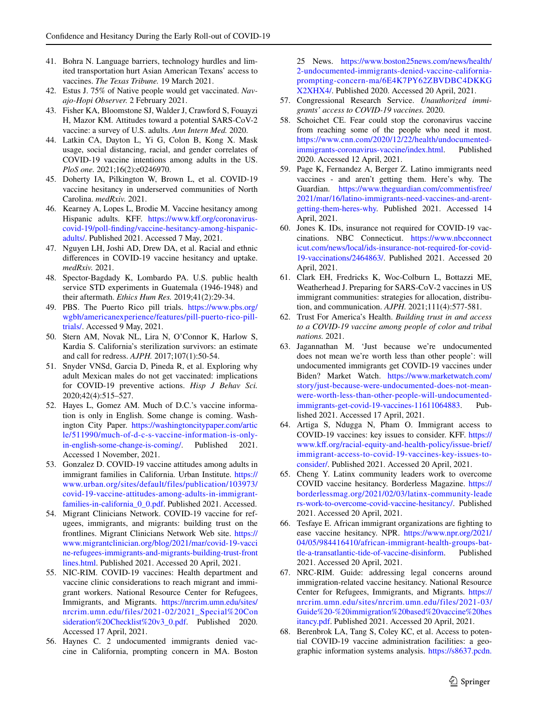- <span id="page-10-0"></span>41. Bohra N. Language barriers, technology hurdles and limited transportation hurt Asian American Texans' access to vaccines. *The Texas Tribune.* 19 March 2021.
- <span id="page-10-1"></span>42. Estus J. 75% of Native people would get vaccinated. *Navajo-Hopi Observer.* 2 February 2021.
- <span id="page-10-2"></span>43. Fisher KA, Bloomstone SJ, Walder J, Crawford S, Fouayzi H, Mazor KM. Attitudes toward a potential SARS-CoV-2 vaccine: a survey of U.S. adults. *Ann Intern Med.* 2020.
- 44. Latkin CA, Dayton L, Yi G, Colon B, Kong X. Mask usage, social distancing, racial, and gender correlates of COVID-19 vaccine intentions among adults in the US. *PloS one.* 2021;16(2):e0246970.
- <span id="page-10-3"></span>45. Doherty IA, Pilkington W, Brown L, et al. COVID-19 vaccine hesitancy in underserved communities of North Carolina. *medRxiv.* 2021.
- <span id="page-10-4"></span>46. Kearney A, Lopes L, Brodie M. Vaccine hesitancy among Hispanic adults. KFF. https://www.kff.org/coronavirus[covid-19/poll-fnding/vaccine-hesitancy-among-hispanic](https://www.kff.org/coronavirus-covid-19/poll-finding/vaccine-hesitancy-among-hispanic-adults/)[adults/](https://www.kff.org/coronavirus-covid-19/poll-finding/vaccine-hesitancy-among-hispanic-adults/). Published 2021. Accessed 7 May, 2021.
- <span id="page-10-5"></span>47. Nguyen LH, Joshi AD, Drew DA, et al. Racial and ethnic diferences in COVID-19 vaccine hesitancy and uptake. *medRxiv.* 2021.
- <span id="page-10-6"></span>48. Spector-Bagdady K, Lombardo PA. U.S. public health service STD experiments in Guatemala (1946-1948) and their aftermath. *Ethics Hum Res.* 2019;41(2):29-34.
- <span id="page-10-7"></span>49. PBS. The Puerto Rico pill trials. [https://www.pbs.org/](https://www.pbs.org/wgbh/americanexperience/features/pill-puerto-rico-pill-trials/) [wgbh/americanexperience/features/pill-puerto-rico-pill](https://www.pbs.org/wgbh/americanexperience/features/pill-puerto-rico-pill-trials/)[trials/](https://www.pbs.org/wgbh/americanexperience/features/pill-puerto-rico-pill-trials/). Accessed 9 May, 2021.
- <span id="page-10-8"></span>50. Stern AM, Novak NL, Lira N, O'Connor K, Harlow S, Kardia S. California's sterilization survivors: an estimate and call for redress. *AJPH.* 2017;107(1):50-54.
- <span id="page-10-9"></span>51. Snyder VNSd, Garcia D, Pineda R, et al. Exploring why adult Mexican males do not get vaccinated: implications for COVID-19 preventive actions. *Hisp J Behav Sci.* 2020;42(4):515–527.
- <span id="page-10-10"></span>52. Hayes L, Gomez AM. Much of D.C.'s vaccine information is only in English. Some change is coming. Washington City Paper. [https://washingtoncitypaper.com/artic](https://washingtoncitypaper.com/article/511990/much-of-d-c-s-vaccine-information-is-only-in-english-some-change-is-coming/) [le/511990/much-of-d-c-s-vaccine-information-is-only](https://washingtoncitypaper.com/article/511990/much-of-d-c-s-vaccine-information-is-only-in-english-some-change-is-coming/)[in-english-some-change-is-coming/](https://washingtoncitypaper.com/article/511990/much-of-d-c-s-vaccine-information-is-only-in-english-some-change-is-coming/). Published 2021. Accessed 1 November, 2021.
- <span id="page-10-11"></span>53. Gonzalez D. COVID-19 vaccine attitudes among adults in immigrant families in California. Urban Institute. [https://](https://www.urban.org/sites/default/files/publication/103973/covid-19-vaccine-attitudes-among-adults-in-immigrant-families-in-california_0_0.pdf) [www.urban.org/sites/default/files/publication/103973/](https://www.urban.org/sites/default/files/publication/103973/covid-19-vaccine-attitudes-among-adults-in-immigrant-families-in-california_0_0.pdf) [covid-19-vaccine-attitudes-among-adults-in-immigrant](https://www.urban.org/sites/default/files/publication/103973/covid-19-vaccine-attitudes-among-adults-in-immigrant-families-in-california_0_0.pdf)families-in-california 0 0.pdf. Published 2021. Accessed.
- <span id="page-10-12"></span>54. Migrant Clinicians Network. COVID-19 vaccine for refugees, immigrants, and migrants: building trust on the frontlines. Migrant Clinicians Network Web site. [https://](https://www.migrantclinician.org/blog/2021/mar/covid-19-vaccine-refugees-immigrants-and-migrants-building-trust-frontlines.html) [www.migrantclinician.org/blog/2021/mar/covid-19-vacci](https://www.migrantclinician.org/blog/2021/mar/covid-19-vaccine-refugees-immigrants-and-migrants-building-trust-frontlines.html) [ne-refugees-immigrants-and-migrants-building-trust-front](https://www.migrantclinician.org/blog/2021/mar/covid-19-vaccine-refugees-immigrants-and-migrants-building-trust-frontlines.html) [lines.html.](https://www.migrantclinician.org/blog/2021/mar/covid-19-vaccine-refugees-immigrants-and-migrants-building-trust-frontlines.html) Published 2021. Accessed 20 April, 2021.
- <span id="page-10-14"></span>55. NIC-RIM. COVID-19 vaccines: Health department and vaccine clinic considerations to reach migrant and immigrant workers. National Resource Center for Refugees, Immigrants, and Migrants. [https://nrcrim.umn.edu/sites/](https://nrcrim.umn.edu/sites/nrcrim.umn.edu/files/2021-02/2021_Special%20Consideration%20Checklist%20v3_0.pdf) [nrcrim.umn.edu/files/2021-02/2021\\_Special%20Con](https://nrcrim.umn.edu/sites/nrcrim.umn.edu/files/2021-02/2021_Special%20Consideration%20Checklist%20v3_0.pdf) [sideration%20Checklist%20v3\\_0.pdf](https://nrcrim.umn.edu/sites/nrcrim.umn.edu/files/2021-02/2021_Special%20Consideration%20Checklist%20v3_0.pdf). Published 2020. Accessed 17 April, 2021.
- 56. Haynes C. 2 undocumented immigrants denied vaccine in California, prompting concern in MA. Boston

25 News. [https://www.boston25news.com/news/health/](https://www.boston25news.com/news/health/2-undocumented-immigrants-denied-vaccine-california-prompting-concern-ma/6E4K7PY62ZBVDBC4DKKGX2XHX4/) [2-undocumented-immigrants-denied-vaccine-california](https://www.boston25news.com/news/health/2-undocumented-immigrants-denied-vaccine-california-prompting-concern-ma/6E4K7PY62ZBVDBC4DKKGX2XHX4/)[prompting-concern-ma/6E4K7PY62ZBVDBC4DKKG](https://www.boston25news.com/news/health/2-undocumented-immigrants-denied-vaccine-california-prompting-concern-ma/6E4K7PY62ZBVDBC4DKKGX2XHX4/) [X2XHX4/](https://www.boston25news.com/news/health/2-undocumented-immigrants-denied-vaccine-california-prompting-concern-ma/6E4K7PY62ZBVDBC4DKKGX2XHX4/). Published 2020. Accessed 20 April, 2021.

- <span id="page-10-15"></span>57. Congressional Research Service. *Unauthorized immigrants' access to COVID-19 vaccines.* 2020.
- <span id="page-10-17"></span>58. Schoichet CE. Fear could stop the coronavirus vaccine from reaching some of the people who need it most. [https://www.cnn.com/2020/12/22/health/undocumented](https://www.cnn.com/2020/12/22/health/undocumented-immigrants-coronavirus-vaccine/index.html)[immigrants-coronavirus-vaccine/index.html](https://www.cnn.com/2020/12/22/health/undocumented-immigrants-coronavirus-vaccine/index.html). Published 2020. Accessed 12 April, 2021.
- <span id="page-10-19"></span>59. Page K, Fernandez A, Berger Z. Latino immigrants need vaccines - and aren't getting them. Here's why. The Guardian. [https://www.theguardian.com/commentisfree/](https://www.theguardian.com/commentisfree/2021/mar/16/latino-immigrants-need-vaccines-and-arent-getting-them-heres-why) [2021/mar/16/latino-immigrants-need-vaccines-and-arent](https://www.theguardian.com/commentisfree/2021/mar/16/latino-immigrants-need-vaccines-and-arent-getting-them-heres-why)[getting-them-heres-why.](https://www.theguardian.com/commentisfree/2021/mar/16/latino-immigrants-need-vaccines-and-arent-getting-them-heres-why) Published 2021. Accessed 14 April, 2021.
- 60. Jones K. IDs, insurance not required for COVID-19 vaccinations. NBC Connecticut. [https://www.nbcconnect](https://www.nbcconnecticut.com/news/local/ids-insurance-not-required-for-covid-19-vaccinations/2464863/) [icut.com/news/local/ids-insurance-not-required-for-covid-](https://www.nbcconnecticut.com/news/local/ids-insurance-not-required-for-covid-19-vaccinations/2464863/)[19-vaccinations/2464863/](https://www.nbcconnecticut.com/news/local/ids-insurance-not-required-for-covid-19-vaccinations/2464863/). Published 2021. Accessed 20 April, 2021.
- <span id="page-10-13"></span>61. Clark EH, Fredricks K, Woc-Colburn L, Bottazzi ME, Weatherhead J. Preparing for SARS-CoV-2 vaccines in US immigrant communities: strategies for allocation, distribution, and communication. *AJPH.* 2021;111(4):577-581.
- 62. Trust For America's Health. *Building trust in and access to a COVID-19 vaccine among people of color and tribal nations.* 2021.
- <span id="page-10-16"></span>63. Jagannathan M. 'Just because we're undocumented does not mean we're worth less than other people': will undocumented immigrants get COVID-19 vaccines under Biden? Market Watch. [https://www.marketwatch.com/](https://www.marketwatch.com/story/just-because-were-undocumented-does-not-mean-were-worth-less-than-other-people-will-undocumented-immigrants-get-covid-19-vaccines-11611064883) [story/just-because-were-undocumented-does-not-mean](https://www.marketwatch.com/story/just-because-were-undocumented-does-not-mean-were-worth-less-than-other-people-will-undocumented-immigrants-get-covid-19-vaccines-11611064883)were-worth-less-than-other-people-will-undocumented-<br>immigrants-get-covid-19-vaccines-11611064883. Pub[immigrants-get-covid-19-vaccines-11611064883](https://www.marketwatch.com/story/just-because-were-undocumented-does-not-mean-were-worth-less-than-other-people-will-undocumented-immigrants-get-covid-19-vaccines-11611064883). lished 2021. Accessed 17 April, 2021.
- <span id="page-10-18"></span>64. Artiga S, Ndugga N, Pham O. Immigrant access to COVID-19 vaccines: key issues to consider. KFF. [https://](https://www.kff.org/racial-equity-and-health-policy/issue-brief/immigrant-access-to-covid-19-vaccines-key-issues-to-consider/) [www.kf.org/racial-equity-and-health-policy/issue-brief/](https://www.kff.org/racial-equity-and-health-policy/issue-brief/immigrant-access-to-covid-19-vaccines-key-issues-to-consider/) [immigrant-access-to-covid-19-vaccines-key-issues-to](https://www.kff.org/racial-equity-and-health-policy/issue-brief/immigrant-access-to-covid-19-vaccines-key-issues-to-consider/)[consider/](https://www.kff.org/racial-equity-and-health-policy/issue-brief/immigrant-access-to-covid-19-vaccines-key-issues-to-consider/). Published 2021. Accessed 20 April, 2021.
- <span id="page-10-20"></span>65. Cheng Y. Latinx community leaders work to overcome COVID vaccine hesitancy. Borderless Magazine. [https://](https://borderlessmag.org/2021/02/03/latinx-community-leaders-work-to-overcome-covid-vaccine-hesitancy/) [borderlessmag.org/2021/02/03/latinx-community-leade](https://borderlessmag.org/2021/02/03/latinx-community-leaders-work-to-overcome-covid-vaccine-hesitancy/) [rs-work-to-overcome-covid-vaccine-hesitancy/.](https://borderlessmag.org/2021/02/03/latinx-community-leaders-work-to-overcome-covid-vaccine-hesitancy/) Published 2021. Accessed 20 April, 2021.
- <span id="page-10-21"></span>66. Tesfaye E. African immigrant organizations are fghting to ease vaccine hesitancy. NPR. [https://www.npr.org/2021/](https://www.npr.org/2021/04/05/984416410/african-immigrant-health-groups-battle-a-transatlantic-tide-of-vaccine-disinform) [04/05/984416410/african-immigrant-health-groups-bat](https://www.npr.org/2021/04/05/984416410/african-immigrant-health-groups-battle-a-transatlantic-tide-of-vaccine-disinform)[tle-a-transatlantic-tide-of-vaccine-disinform](https://www.npr.org/2021/04/05/984416410/african-immigrant-health-groups-battle-a-transatlantic-tide-of-vaccine-disinform). Published 2021. Accessed 20 April, 2021.
- <span id="page-10-22"></span>67. NRC-RIM. Guide: addressing legal concerns around immigration-related vaccine hesitancy. National Resource Center for Refugees, Immigrants, and Migrants. [https://](https://nrcrim.umn.edu/sites/nrcrim.umn.edu/files/2021-03/Guide%20-%20immigration%20based%20vaccine%20hesitancy.pdf) [nrcrim.umn.edu/sites/nrcrim.umn.edu/files/2021-03/](https://nrcrim.umn.edu/sites/nrcrim.umn.edu/files/2021-03/Guide%20-%20immigration%20based%20vaccine%20hesitancy.pdf) [Guide%20-%20immigration%20based%20vaccine%20hes](https://nrcrim.umn.edu/sites/nrcrim.umn.edu/files/2021-03/Guide%20-%20immigration%20based%20vaccine%20hesitancy.pdf) [itancy.pdf.](https://nrcrim.umn.edu/sites/nrcrim.umn.edu/files/2021-03/Guide%20-%20immigration%20based%20vaccine%20hesitancy.pdf) Published 2021. Accessed 20 April, 2021.
- <span id="page-10-23"></span>68. Berenbrok LA, Tang S, Coley KC, et al. Access to potential COVID-19 vaccine administration facilities: a geographic information systems analysis. [https://s8637.pcdn.](https://s8637.pcdn.co/wp-content/uploads/2021/02/Access-to-Potential-COVID-19-Vaccine-Administration-Facilities-2-2-2021.pdf)